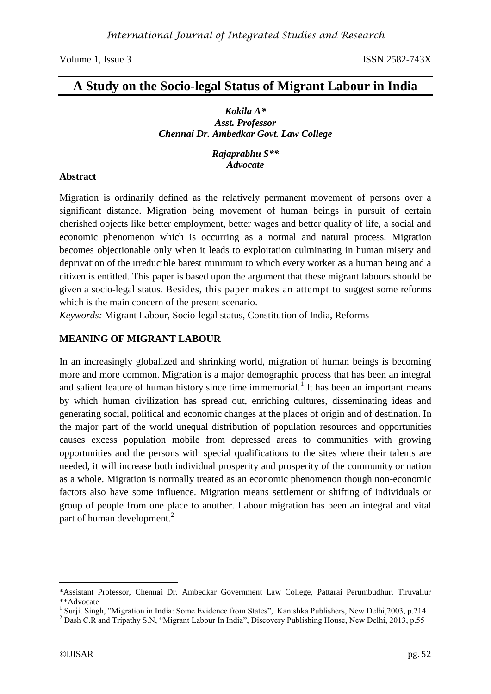# **A Study on the Socio-legal Status of Migrant Labour in India**

### *Kokila A\* Asst. Professor Chennai Dr. Ambedkar Govt. Law College*

*Rajaprabhu S\*\* Advocate*

## **Abstract**

Migration is ordinarily defined as the relatively permanent movement of persons over a significant distance. Migration being movement of human beings in pursuit of certain cherished objects like better employment, better wages and better quality of life, a social and economic phenomenon which is occurring as a normal and natural process. Migration becomes objectionable only when it leads to exploitation culminating in human misery and deprivation of the irreducible barest minimum to which every worker as a human being and a citizen is entitled. This paper is based upon the argument that these migrant labours should be given a socio-legal status. Besides, this paper makes an attempt to suggest some reforms which is the main concern of the present scenario.

*Keywords:* Migrant Labour, Socio-legal status, Constitution of India, Reforms

## **MEANING OF MIGRANT LABOUR**

In an increasingly globalized and shrinking world, migration of human beings is becoming more and more common. Migration is a major demographic process that has been an integral and salient feature of human history since time immemorial.<sup>1</sup> It has been an important means by which human civilization has spread out, enriching cultures, disseminating ideas and generating social, political and economic changes at the places of origin and of destination. In the major part of the world unequal distribution of population resources and opportunities causes excess population mobile from depressed areas to communities with growing opportunities and the persons with special qualifications to the sites where their talents are needed, it will increase both individual prosperity and prosperity of the community or nation as a whole. Migration is normally treated as an economic phenomenon though non-economic factors also have some influence. Migration means settlement or shifting of individuals or group of people from one place to another. Labour migration has been an integral and vital part of human development.<sup>2</sup>

<sup>\*</sup>Assistant Professor, Chennai Dr. Ambedkar Government Law College, Pattarai Perumbudhur, Tiruvallur \*\*Advocate

<sup>&</sup>lt;sup>1</sup> Surjit Singh, "Migration in India: Some Evidence from States", Kanishka Publishers, New Delhi,2003, p.214

<sup>&</sup>lt;sup>2</sup> Dash C.R and Tripathy S.N, "Migrant Labour In India", Discovery Publishing House, New Delhi, 2013, p.55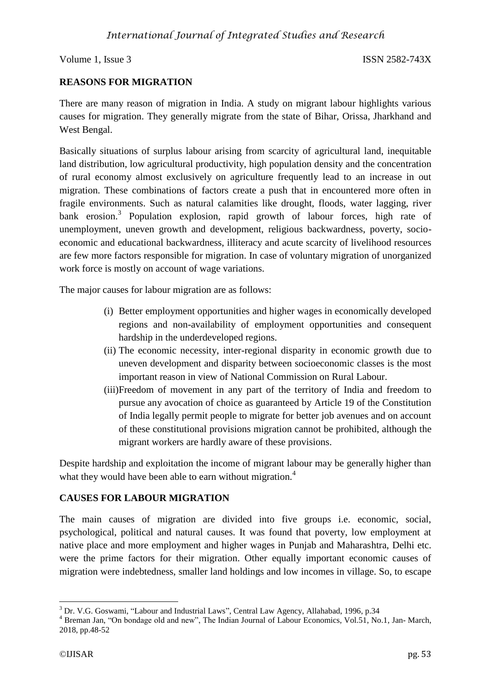## **REASONS FOR MIGRATION**

There are many reason of migration in India. A study on migrant labour highlights various causes for migration. They generally migrate from the state of Bihar, Orissa, Jharkhand and West Bengal.

Basically situations of surplus labour arising from scarcity of agricultural land, inequitable land distribution, low agricultural productivity, high population density and the concentration of rural economy almost exclusively on agriculture frequently lead to an increase in out migration. These combinations of factors create a push that in encountered more often in fragile environments. Such as natural calamities like drought, floods, water lagging, river bank erosion.<sup>3</sup> Population explosion, rapid growth of labour forces, high rate of unemployment, uneven growth and development, religious backwardness, poverty, socioeconomic and educational backwardness, illiteracy and acute scarcity of livelihood resources are few more factors responsible for migration. In case of voluntary migration of unorganized work force is mostly on account of wage variations.

The major causes for labour migration are as follows:

- (i) Better employment opportunities and higher wages in economically developed regions and non-availability of employment opportunities and consequent hardship in the underdeveloped regions.
- (ii) The economic necessity, inter-regional disparity in economic growth due to uneven development and disparity between socioeconomic classes is the most important reason in view of National Commission on Rural Labour.
- (iii)Freedom of movement in any part of the territory of India and freedom to pursue any avocation of choice as guaranteed by Article 19 of the Constitution of India legally permit people to migrate for better job avenues and on account of these constitutional provisions migration cannot be prohibited, although the migrant workers are hardly aware of these provisions.

Despite hardship and exploitation the income of migrant labour may be generally higher than what they would have been able to earn without migration.<sup>4</sup>

## **CAUSES FOR LABOUR MIGRATION**

The main causes of migration are divided into five groups i.e. economic, social, psychological, political and natural causes. It was found that poverty, low employment at native place and more employment and higher wages in Punjab and Maharashtra, Delhi etc. were the prime factors for their migration. Other equally important economic causes of migration were indebtedness, smaller land holdings and low incomes in village. So, to escape

<sup>1</sup> <sup>3</sup> Dr. V.G. Goswami, "Labour and Industrial Laws", Central Law Agency, Allahabad, 1996, p.34

<sup>&</sup>lt;sup>4</sup> Breman Jan, "On bondage old and new", The Indian Journal of Labour Economics, Vol.51, No.1, Jan- March, 2018, pp.48-52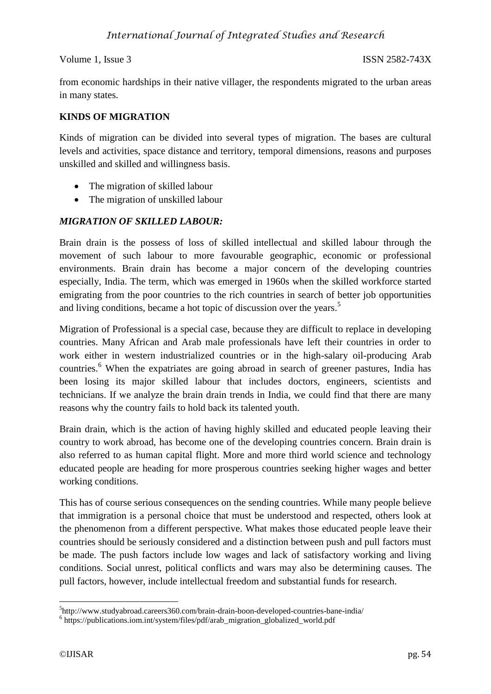from economic hardships in their native villager, the respondents migrated to the urban areas in many states.

## **KINDS OF MIGRATION**

Kinds of migration can be divided into several types of migration. The bases are cultural levels and activities, space distance and territory, temporal dimensions, reasons and purposes unskilled and skilled and willingness basis.

- The migration of skilled labour
- The migration of unskilled labour

## *MIGRATION OF SKILLED LABOUR:*

Brain drain is the possess of loss of skilled intellectual and skilled labour through the movement of such labour to more favourable geographic, economic or professional environments. Brain drain has become a major concern of the developing countries especially, India. The term, which was emerged in 1960s when the skilled workforce started emigrating from the poor countries to the rich countries in search of better job opportunities and living conditions, became a hot topic of discussion over the years.<sup>5</sup>

Migration of Professional is a special case, because they are difficult to replace in developing countries. Many African and Arab male professionals have left their countries in order to work either in western industrialized countries or in the high-salary oil-producing Arab countries.<sup>6</sup> When the expatriates are going abroad in search of greener pastures, India has been losing its major skilled labour that includes doctors, engineers, scientists and technicians. If we analyze the brain drain trends in India, we could find that there are many reasons why the country fails to hold back its talented youth.

Brain drain, which is the action of having highly skilled and educated people leaving their country to work abroad, has become one of the developing countries concern. Brain drain is also referred to as human capital flight. More and more third world science and technology educated people are heading for more prosperous countries seeking higher wages and better working conditions.

This has of course serious consequences on the sending countries. While many people believe that immigration is a personal choice that must be understood and respected, others look at the phenomenon from a different perspective. What makes those educated people leave their countries should be seriously considered and a distinction between push and pull factors must be made. The push factors include low wages and lack of satisfactory working and living conditions. Social unrest, political conflicts and wars may also be determining causes. The pull factors, however, include intellectual freedom and substantial funds for research.

<sup>1</sup> 5 http://www.studyabroad.careers360.com/brain-drain-boon-developed-countries-bane-india/

<sup>&</sup>lt;sup>6</sup> https://publications.iom.int/system/files/pdf/arab\_migration\_globalized\_world.pdf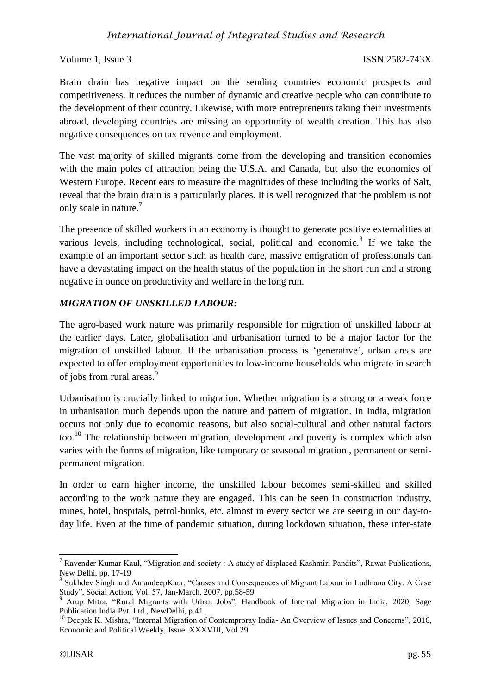## *International Journal of Integrated Studies and Research*

### Volume 1, Issue 3 ISSN 2582-743X

Brain drain has negative impact on the sending countries economic prospects and competitiveness. It reduces the number of dynamic and creative people who can contribute to the development of their country. Likewise, with more entrepreneurs taking their investments abroad, developing countries are missing an opportunity of wealth creation. This has also negative consequences on tax revenue and employment.

The vast majority of skilled migrants come from the developing and transition economies with the main poles of attraction being the U.S.A. and Canada, but also the economies of Western Europe. Recent ears to measure the magnitudes of these including the works of Salt, reveal that the brain drain is a particularly places. It is well recognized that the problem is not only scale in nature.<sup>7</sup>

The presence of skilled workers in an economy is thought to generate positive externalities at various levels, including technological, social, political and economic.<sup>8</sup> If we take the example of an important sector such as health care, massive emigration of professionals can have a devastating impact on the health status of the population in the short run and a strong negative in ounce on productivity and welfare in the long run.

## *MIGRATION OF UNSKILLED LABOUR:*

The agro-based work nature was primarily responsible for migration of unskilled labour at the earlier days. Later, globalisation and urbanisation turned to be a major factor for the migration of unskilled labour. If the urbanisation process is 'generative', urban areas are expected to offer employment opportunities to low-income households who migrate in search of jobs from rural areas.<sup>9</sup>

Urbanisation is crucially linked to migration. Whether migration is a strong or a weak force in urbanisation much depends upon the nature and pattern of migration. In India, migration occurs not only due to economic reasons, but also social-cultural and other natural factors too.<sup>10</sup> The relationship between migration, development and poverty is complex which also varies with the forms of migration, like temporary or seasonal migration , permanent or semipermanent migration.

In order to earn higher income, the unskilled labour becomes semi-skilled and skilled according to the work nature they are engaged. This can be seen in construction industry, mines, hotel, hospitals, petrol-bunks, etc. almost in every sector we are seeing in our day-today life. Even at the time of pandemic situation, during lockdown situation, these inter-state

**<sup>.</sup>** <sup>7</sup> Ravender Kumar Kaul, "Migration and society : A study of displaced Kashmiri Pandits", Rawat Publications, New Delhi, pp. 17-19

<sup>&</sup>lt;sup>8</sup> Sukhdev Singh and AmandeepKaur, "Causes and Consequences of Migrant Labour in Ludhiana City: A Case Study", Social Action, Vol. 57, Jan-March, 2007, pp.58-59

<sup>&</sup>lt;sup>9</sup> Arup Mitra, "Rural Migrants with Urban Jobs", Handbook of Internal Migration in India, 2020, Sage Publication India Pvt. Ltd., NewDelhi, p.41

<sup>&</sup>lt;sup>10</sup> Deepak K. Mishra, "Internal Migration of Contemproray India- An Overview of Issues and Concerns", 2016, Economic and Political Weekly, Issue. XXXVIII, Vol.29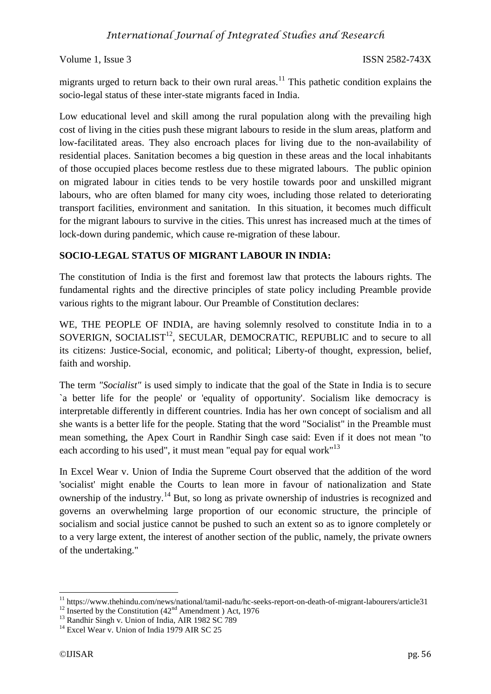migrants urged to return back to their own rural areas.<sup>11</sup> This pathetic condition explains the socio-legal status of these inter-state migrants faced in India.

Low educational level and skill among the rural population along with the prevailing high cost of living in the cities push these migrant labours to reside in the slum areas, platform and low-facilitated areas. They also encroach places for living due to the non-availability of residential places. Sanitation becomes a big question in these areas and the local inhabitants of those occupied places become restless due to these migrated labours. The public opinion on migrated labour in cities tends to be very hostile towards poor and unskilled migrant labours, who are often blamed for many city woes, including those related to deteriorating transport facilities, environment and sanitation. In this situation, it becomes much difficult for the migrant labours to survive in the cities. This unrest has increased much at the times of lock-down during pandemic, which cause re-migration of these labour.

## **SOCIO-LEGAL STATUS OF MIGRANT LABOUR IN INDIA:**

The constitution of India is the first and foremost law that protects the labours rights. The fundamental rights and the directive principles of state policy including Preamble provide various rights to the migrant labour. Our Preamble of Constitution declares:

WE, THE PEOPLE OF INDIA, are having solemnly resolved to constitute India in to a  $SOWERIGN, SOCHALIST<sup>12</sup>, SECULAR, DEMOCRATIC, REPUBLIC and to secure to all$ its citizens: Justice-Social, economic, and political; Liberty-of thought, expression, belief, faith and worship.

The term *"Socialist"* is used simply to indicate that the goal of the State in India is to secure `a better life for the people' or 'equality of opportunity'. Socialism like democracy is interpretable differently in different countries. India has her own concept of socialism and all she wants is a better life for the people. Stating that the word "Socialist" in the Preamble must mean something, the Apex Court in Randhir Singh case said: Even if it does not mean "to each according to his used", it must mean "equal pay for equal work"<sup>13</sup>

In Excel Wear v. Union of India the Supreme Court observed that the addition of the word 'socialist' might enable the Courts to lean more in favour of nationalization and State ownership of the industry.<sup>14</sup> But, so long as private ownership of industries is recognized and governs an overwhelming large proportion of our economic structure, the principle of socialism and social justice cannot be pushed to such an extent so as to ignore completely or to a very large extent, the interest of another section of the public, namely, the private owners of the undertaking."

<sup>&</sup>lt;sup>11</sup> https://www.thehindu.com/news/national/tamil-nadu/hc-seeks-report-on-death-of-migrant-labourers/article31

 $12$  Inserted by the Constitution  $(42<sup>nd</sup>$  Amendment ) Act, 1976

<sup>&</sup>lt;sup>13</sup> Randhir Singh v. Union of India, AIR 1982 SC 789

 $14$  Excel Wear v. Union of India 1979 AIR SC 25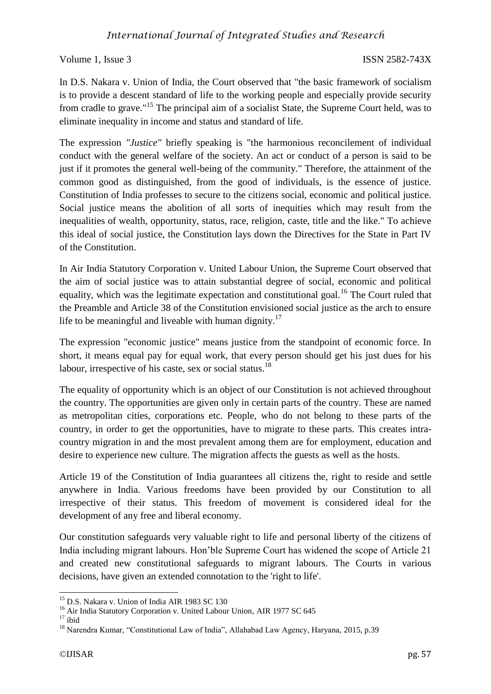# *International Journal of Integrated Studies and Research*

Volume 1, Issue 3 ISSN 2582-743X

In D.S. Nakara v. Union of India, the Court observed that "the basic framework of socialism is to provide a descent standard of life to the working people and especially provide security from cradle to grave."<sup>15</sup> The principal aim of a socialist State, the Supreme Court held, was to eliminate inequality in income and status and standard of life.

The expression *"Justice"* briefly speaking is "the harmonious reconcilement of individual conduct with the general welfare of the society. An act or conduct of a person is said to be just if it promotes the general well-being of the community." Therefore, the attainment of the common good as distinguished, from the good of individuals, is the essence of justice. Constitution of India professes to secure to the citizens social, economic and political justice. Social justice means the abolition of all sorts of inequities which may result from the inequalities of wealth, opportunity, status, race, religion, caste, title and the like." To achieve this ideal of social justice, the Constitution lays down the Directives for the State in Part IV of the Constitution.

In Air India Statutory Corporation v. United Labour Union, the Supreme Court observed that the aim of social justice was to attain substantial degree of social, economic and political equality, which was the legitimate expectation and constitutional goal.<sup>16</sup> The Court ruled that the Preamble and Article 38 of the Constitution envisioned social justice as the arch to ensure life to be meaningful and liveable with human dignity.<sup>17</sup>

The expression "economic justice" means justice from the standpoint of economic force. In short, it means equal pay for equal work, that every person should get his just dues for his labour, irrespective of his caste, sex or social status.<sup>18</sup>

The equality of opportunity which is an object of our Constitution is not achieved throughout the country. The opportunities are given only in certain parts of the country. These are named as metropolitan cities, corporations etc. People, who do not belong to these parts of the country, in order to get the opportunities, have to migrate to these parts. This creates intracountry migration in and the most prevalent among them are for employment, education and desire to experience new culture. The migration affects the guests as well as the hosts.

Article 19 of the Constitution of India guarantees all citizens the, right to reside and settle anywhere in India. Various freedoms have been provided by our Constitution to all irrespective of their status. This freedom of movement is considered ideal for the development of any free and liberal economy.

Our constitution safeguards very valuable right to life and personal liberty of the citizens of India including migrant labours. Hon'ble Supreme Court has widened the scope of Article 21 and created new constitutional safeguards to migrant labours. The Courts in various decisions, have given an extended connotation to the 'right to life'.

<sup>&</sup>lt;sup>15</sup> D.S. Nakara v. Union of India AIR 1983 SC 130

<sup>&</sup>lt;sup>16</sup> Air India Statutory Corporation v. United Labour Union, AIR 1977 SC 645

 $17$  ibid

<sup>&</sup>lt;sup>18</sup> Narendra Kumar, "Constitutional Law of India", Allahabad Law Agency, Haryana, 2015, p.39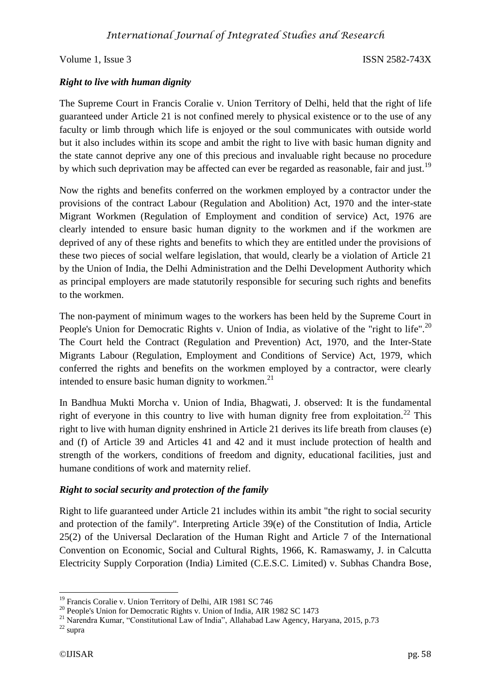## *Right to live with human dignity*

The Supreme Court in Francis Coralie v. Union Territory of Delhi, held that the right of life guaranteed under Article 21 is not confined merely to physical existence or to the use of any faculty or limb through which life is enjoyed or the soul communicates with outside world but it also includes within its scope and ambit the right to live with basic human dignity and the state cannot deprive any one of this precious and invaluable right because no procedure by which such deprivation may be affected can ever be regarded as reasonable, fair and just.<sup>19</sup>

Now the rights and benefits conferred on the workmen employed by a contractor under the provisions of the contract Labour (Regulation and Abolition) Act, 1970 and the inter-state Migrant Workmen (Regulation of Employment and condition of service) Act, 1976 are clearly intended to ensure basic human dignity to the workmen and if the workmen are deprived of any of these rights and benefits to which they are entitled under the provisions of these two pieces of social welfare legislation, that would, clearly be a violation of Article 21 by the Union of India, the Delhi Administration and the Delhi Development Authority which as principal employers are made statutorily responsible for securing such rights and benefits to the workmen.

The non-payment of minimum wages to the workers has been held by the Supreme Court in People's Union for Democratic Rights v. Union of India, as violative of the "right to life".<sup>20</sup> The Court held the Contract (Regulation and Prevention) Act, 1970, and the Inter-State Migrants Labour (Regulation, Employment and Conditions of Service) Act, 1979, which conferred the rights and benefits on the workmen employed by a contractor, were clearly intended to ensure basic human dignity to workmen. $^{21}$ 

In Bandhua Mukti Morcha v. Union of India, Bhagwati, J. observed: It is the fundamental right of everyone in this country to live with human dignity free from exploitation.<sup>22</sup> This right to live with human dignity enshrined in Article 21 derives its life breath from clauses (e) and (f) of Article 39 and Articles 41 and 42 and it must include protection of health and strength of the workers, conditions of freedom and dignity, educational facilities, just and humane conditions of work and maternity relief.

## *Right to social security and protection of the family*

Right to life guaranteed under Article 21 includes within its ambit "the right to social security and protection of the family". Interpreting Article 39(e) of the Constitution of India, Article 25(2) of the Universal Declaration of the Human Right and Article 7 of the International Convention on Economic, Social and Cultural Rights, 1966, K. Ramaswamy, J. in Calcutta Electricity Supply Corporation (India) Limited (C.E.S.C. Limited) v. Subhas Chandra Bose,

<sup>&</sup>lt;sup>19</sup> Francis Coralie v. Union Territory of Delhi, AIR 1981 SC 746

<sup>&</sup>lt;sup>20</sup> People's Union for Democratic Rights v. Union of India, AIR 1982 SC 1473

<sup>21</sup> Narendra Kumar, "Constitutional Law of India", Allahabad Law Agency, Haryana, 2015, p.73

<sup>22</sup> supra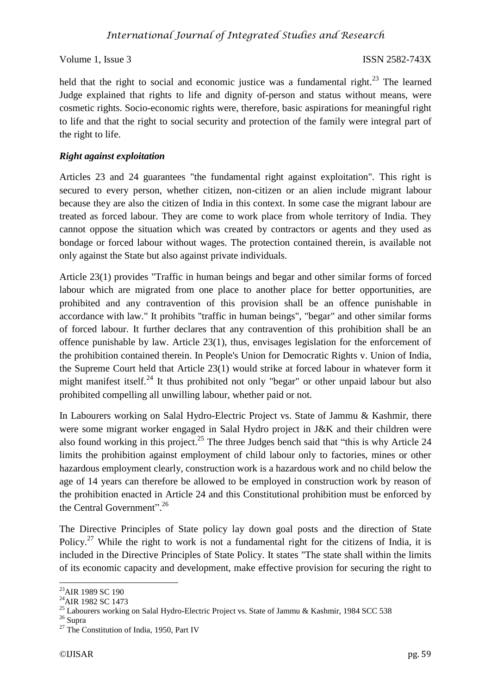held that the right to social and economic justice was a fundamental right. $^{23}$  The learned Judge explained that rights to life and dignity of-person and status without means, were cosmetic rights. Socio-economic rights were, therefore, basic aspirations for meaningful right to life and that the right to social security and protection of the family were integral part of the right to life.

## *Right against exploitation*

Articles 23 and 24 guarantees "the fundamental right against exploitation". This right is secured to every person, whether citizen, non-citizen or an alien include migrant labour because they are also the citizen of India in this context. In some case the migrant labour are treated as forced labour. They are come to work place from whole territory of India. They cannot oppose the situation which was created by contractors or agents and they used as bondage or forced labour without wages. The protection contained therein, is available not only against the State but also against private individuals.

Article 23(1) provides "Traffic in human beings and begar and other similar forms of forced labour which are migrated from one place to another place for better opportunities, are prohibited and any contravention of this provision shall be an offence punishable in accordance with law." It prohibits "traffic in human beings", "begar" and other similar forms of forced labour. It further declares that any contravention of this prohibition shall be an offence punishable by law. Article 23(1), thus, envisages legislation for the enforcement of the prohibition contained therein. In People's Union for Democratic Rights v. Union of India, the Supreme Court held that Article 23(1) would strike at forced labour in whatever form it might manifest itself.<sup>24</sup> It thus prohibited not only "begar" or other unpaid labour but also prohibited compelling all unwilling labour, whether paid or not.

In Labourers working on Salal Hydro-Electric Project vs. State of Jammu & Kashmir, there were some migrant worker engaged in Salal Hydro project in J&K and their children were also found working in this project.<sup>25</sup> The three Judges bench said that "this is why Article  $24$ limits the prohibition against employment of child labour only to factories, mines or other hazardous employment clearly, construction work is a hazardous work and no child below the age of 14 years can therefore be allowed to be employed in construction work by reason of the prohibition enacted in Article 24 and this Constitutional prohibition must be enforced by the Central Government".<sup>26</sup>

The Directive Principles of State policy lay down goal posts and the direction of State Policy.<sup>27</sup> While the right to work is not a fundamental right for the citizens of India, it is included in the Directive Principles of State Policy. It states "The state shall within the limits of its economic capacity and development, make effective provision for securing the right to

**<sup>.</sup>** <sup>23</sup>AIR 1989 SC 190

 $^{24}$ AIR 1982 SC 1473

<sup>&</sup>lt;sup>25</sup> Labourers working on Salal Hydro-Electric Project vs. State of Jammu & Kashmir, 1984 SCC 538

<sup>26</sup> Supra

 $27$  The Constitution of India, 1950, Part IV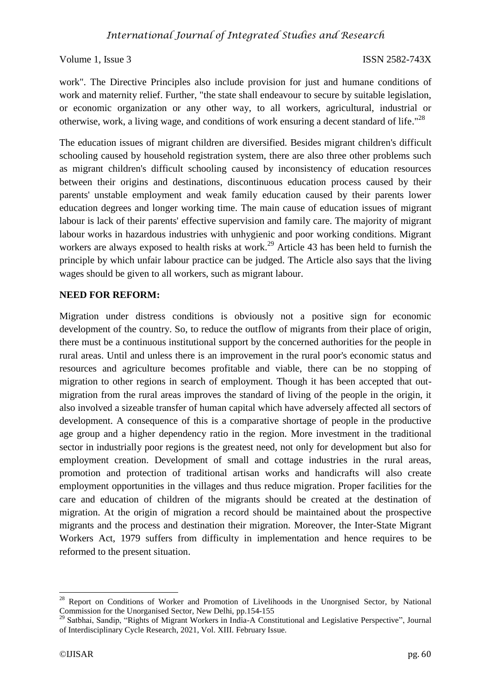work". The Directive Principles also include provision for just and humane conditions of work and maternity relief. Further, "the state shall endeavour to secure by suitable legislation, or economic organization or any other way, to all workers, agricultural, industrial or otherwise, work, a living wage, and conditions of work ensuring a decent standard of life."<sup>28</sup>

The education issues of migrant children are diversified. Besides migrant children's difficult schooling caused by household registration system, there are also three other problems such as migrant children's difficult schooling caused by inconsistency of education resources between their origins and destinations, discontinuous education process caused by their parents' unstable employment and weak family education caused by their parents lower education degrees and longer working time. The main cause of education issues of migrant labour is lack of their parents' effective supervision and family care. The majority of migrant labour works in hazardous industries with unhygienic and poor working conditions. Migrant workers are always exposed to health risks at work.<sup>29</sup> Article 43 has been held to furnish the principle by which unfair labour practice can be judged. The Article also says that the living wages should be given to all workers, such as migrant labour.

## **NEED FOR REFORM:**

Migration under distress conditions is obviously not a positive sign for economic development of the country. So, to reduce the outflow of migrants from their place of origin, there must be a continuous institutional support by the concerned authorities for the people in rural areas. Until and unless there is an improvement in the rural poor's economic status and resources and agriculture becomes profitable and viable, there can be no stopping of migration to other regions in search of employment. Though it has been accepted that outmigration from the rural areas improves the standard of living of the people in the origin, it also involved a sizeable transfer of human capital which have adversely affected all sectors of development. A consequence of this is a comparative shortage of people in the productive age group and a higher dependency ratio in the region. More investment in the traditional sector in industrially poor regions is the greatest need, not only for development but also for employment creation. Development of small and cottage industries in the rural areas, promotion and protection of traditional artisan works and handicrafts will also create employment opportunities in the villages and thus reduce migration. Proper facilities for the care and education of children of the migrants should be created at the destination of migration. At the origin of migration a record should be maintained about the prospective migrants and the process and destination their migration. Moreover, the Inter-State Migrant Workers Act, 1979 suffers from difficulty in implementation and hence requires to be reformed to the present situation.

<sup>&</sup>lt;sup>28</sup> Report on Conditions of Worker and Promotion of Livelihoods in the Unorgnised Sector, by National Commission for the Unorganised Sector, New Delhi, pp.154-155

<sup>&</sup>lt;sup>29</sup> Satbhai, Sandip, "Rights of Migrant Workers in India-A Constitutional and Legislative Perspective", Journal of Interdisciplinary Cycle Research, 2021, Vol. XIII. February Issue.